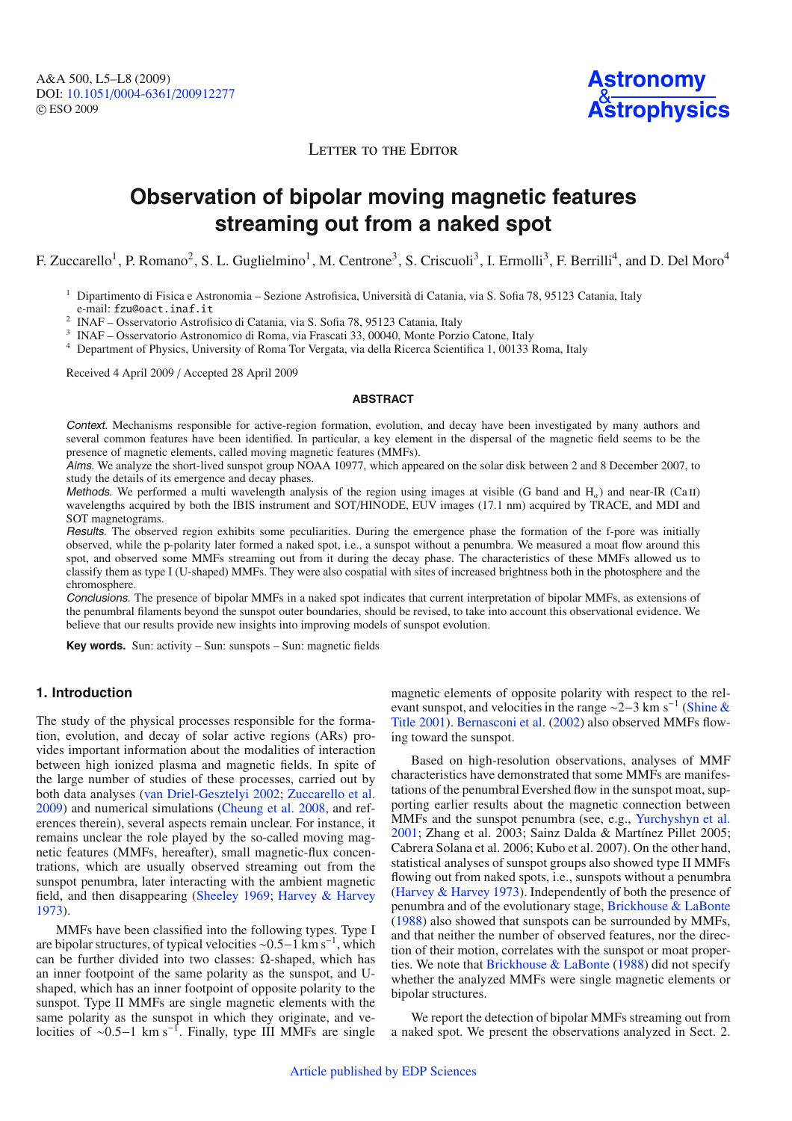**Astronomy** & **[Astrophysics](http://www.aanda.org)**

LETTER TO THE EDITOR

# **Observation of bipolar moving magnetic features streaming out from a naked spot**

F. Zuccarello<sup>1</sup>, P. Romano<sup>2</sup>, S. L. Guglielmino<sup>1</sup>, M. Centrone<sup>3</sup>, S. Criscuoli<sup>3</sup>, I. Ermolli<sup>3</sup>, F. Berrilli<sup>4</sup>, and D. Del Moro<sup>4</sup>

<sup>1</sup> Dipartimento di Fisica e Astronomia – Sezione Astrofisica, Università di Catania, via S. Sofia 78, 95123 Catania, Italy e-mail: fzu@oact.inaf.it

<sup>2</sup> INAF – Osservatorio Astrofisico di Catania, via S. Sofia 78, 95123 Catania, Italy

<sup>3</sup> INAF – Osservatorio Astronomico di Roma, via Frascati 33, 00040, Monte Porzio Catone, Italy

<sup>4</sup> Department of Physics, University of Roma Tor Vergata, via della Ricerca Scientifica 1, 00133 Roma, Italy

Received 4 April 2009 / Accepted 28 April 2009

### **ABSTRACT**

Context. Mechanisms responsible for active-region formation, evolution, and decay have been investigated by many authors and several common features have been identified. In particular, a key element in the dispersal of the magnetic field seems to be the presence of magnetic elements, called moving magnetic features (MMFs).

Aims. We analyze the short-lived sunspot group NOAA 10977, which appeared on the solar disk between 2 and 8 December 2007, to study the details of its emergence and decay phases.

Methods. We performed a multi wavelength analysis of the region using images at visible (G band and  $H_{\alpha}$ ) and near-IR (Ca II) wavelengths acquired by both the IBIS instrument and SOT/HINODE, EUV images (17.1 nm) acquired by TRACE, and MDI and SOT magnetograms.

Results. The observed region exhibits some peculiarities. During the emergence phase the formation of the f-pore was initially observed, while the p-polarity later formed a naked spot, i.e., a sunspot without a penumbra. We measured a moat flow around this spot, and observed some MMFs streaming out from it during the decay phase. The characteristics of these MMFs allowed us to classify them as type I (U-shaped) MMFs. They were also cospatial with sites of increased brightness both in the photosphere and the chromosphere.

Conclusions. The presence of bipolar MMFs in a naked spot indicates that current interpretation of bipolar MMFs, as extensions of the penumbral filaments beyond the sunspot outer boundaries, should be revised, to take into account this observational evidence. We believe that our results provide new insights into improving models of sunspot evolution.

**Key words.** Sun: activity – Sun: sunspots – Sun: magnetic fields

## **1. Introduction**

The study of the physical processes responsible for the formation, evolution, and decay of solar active regions (ARs) provides important information about the modalities of interaction between high ionized plasma and magnetic fields. In spite of the large number of studies of these processes, carried out by both data analyses [\(van Driel-Gesztelyi 2002](#page-3-0); [Zuccarello et al.](#page-3-1) [2009](#page-3-1)) and numerical simulations [\(Cheung et al. 2008,](#page-3-2) and references therein), several aspects remain unclear. For instance, it remains unclear the role played by the so-called moving magnetic features (MMFs, hereafter), small magnetic-flux concentrations, which are usually observed streaming out from the sunspot penumbra, later interacting with the ambient magnetic field, and then disappearing [\(Sheeley 1969;](#page-3-3) [Harvey & Harvey](#page-3-4) [1973](#page-3-4)).

MMFs have been classified into the following types. Type I are bipolar structures, of typical velocities <sup>∼</sup>0.5−1 km s−<sup>1</sup> , which can be further divided into two classes: Ω-shaped, which has an inner footpoint of the same polarity as the sunspot, and Ushaped, which has an inner footpoint of opposite polarity to the sunspot. Type II MMFs are single magnetic elements with the same polarity as the sunspot in which they originate, and velocities of ~0.5–1 km s<sup>-1</sup>. Finally, type III MMFs are single

magnetic elements of opposite polarity with respect to the releva[nt sunspot, and velocities in the range](#page-3-5)  $\sim$ 2−3 km s<sup>-1</sup> (Shine & Title [2001](#page-3-5)). [Bernasconi et al.](#page-3-6) [\(2002\)](#page-3-6) also observed MMFs flowing toward the sunspot.

Based on high-resolution observations, analyses of MMF characteristics have demonstrated that some MMFs are manifestations of the penumbral Evershed flow in the sunspot moat, supporting earlier results about the magnetic connection between MMFs and the sunspot penumbra (see, e.g., [Yurchyshyn et al.](#page-3-7) [2001](#page-3-7); Zhang et al. 2003; Sainz Dalda & Martínez Pillet 2005; Cabrera Solana et al. 2006; Kubo et al. 2007). On the other hand, statistical analyses of sunspot groups also showed type II MMFs flowing out from naked spots, i.e., sunspots without a penumbra [\(Harvey & Harvey 1973](#page-3-4)). Independently of both the presence of penumbra and of the evolutionary stage, [Brickhouse & LaBonte](#page-3-8) [\(1988](#page-3-8)) also showed that sunspots can be surrounded by MMFs, and that neither the number of observed features, nor the direction of their motion, correlates with the sunspot or moat properties. We note that [Brickhouse & LaBonte](#page-3-8) [\(1988\)](#page-3-8) did not specify whether the analyzed MMFs were single magnetic elements or bipolar structures.

We report the detection of bipolar MMFs streaming out from a naked spot. We present the observations analyzed in Sect. 2.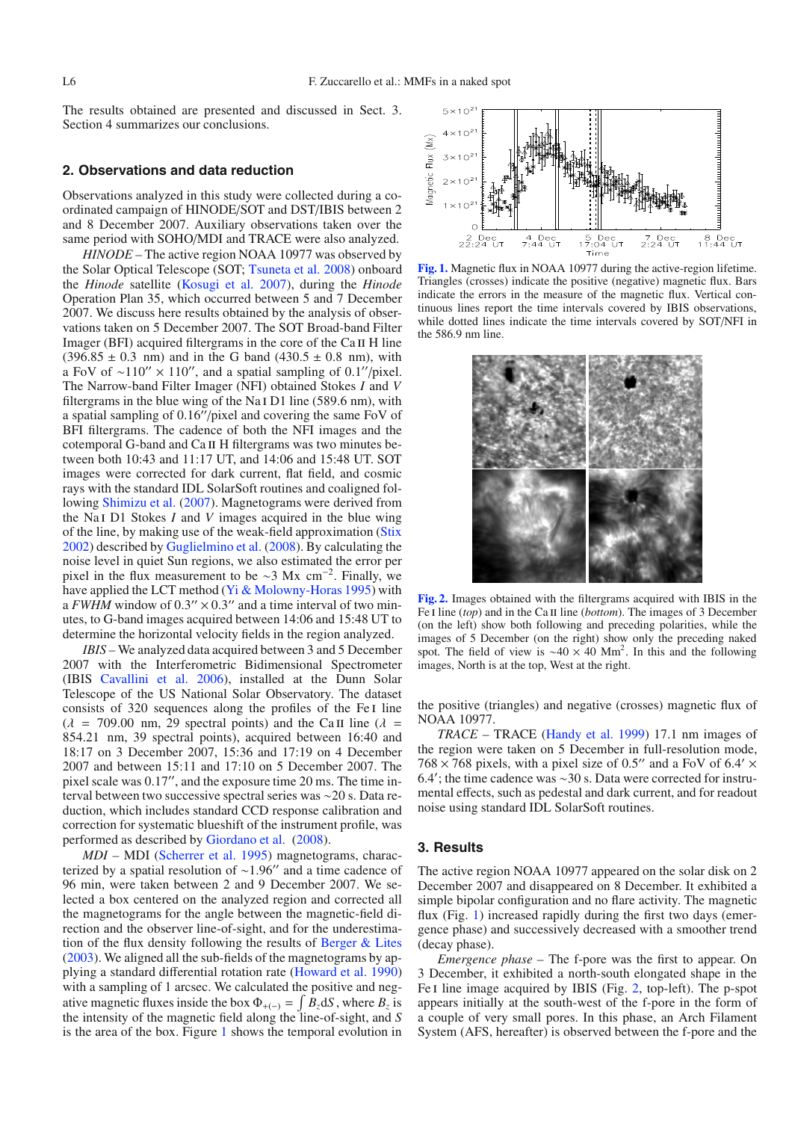The results obtained are presented and discussed in Sect. 3. Section 4 summarizes our conclusions.

## **2. Observations and data reduction**

Observations analyzed in this study were collected during a coordinated campaign of HINODE/SOT and DST/IBIS between 2 and 8 December 2007. Auxiliary observations taken over the same period with SOHO/MDI and TRACE were also analyzed.

*HINODE –* The active region NOAA 10977 was observed by the Solar Optical Telescope (SOT; [Tsuneta et al. 2008\)](#page-3-9) onboard the *Hinode* satellite [\(Kosugi et al. 2007](#page-3-10)), during the *Hinode* Operation Plan 35, which occurred between 5 and 7 December 2007. We discuss here results obtained by the analysis of observations taken on 5 December 2007. The SOT Broad-band Filter Imager (BFI) acquired filtergrams in the core of the Ca II H line  $(396.85 \pm 0.3 \text{ nm})$  and in the G band  $(430.5 \pm 0.8 \text{ nm})$ , with a FoV of ~110"  $\times$  110", and a spatial sampling of 0.1"/pixel. The Narrow-band Filter Imager (NFI) obtained Stokes *I* and *V* filtergrams in the blue wing of the Na<sub>I</sub> D<sub>1</sub> line (589.6 nm), with a spatial sampling of  $0.16''/\text{pixel}$  and covering the same FoV of BFI filtergrams. The cadence of both the NFI images and the cotemporal G-band and Ca ii H filtergrams was two minutes between both 10:43 and 11:17 UT, and 14:06 and 15:48 UT. SOT images were corrected for dark current, flat field, and cosmic rays with the standard IDL SolarSoft routines and coaligned following [Shimizu et al.](#page-3-11) [\(2007](#page-3-11)). Magnetograms were derived from the Na i D1 Stokes *I* and *V* images acquired in the blue wing of the line, by making use of the weak-field approximation [\(Stix](#page-3-12) [2002](#page-3-12)) described by [Guglielmino et al.](#page-3-13) [\(2008](#page-3-13)). By calculating the noise level in quiet Sun regions, we also estimated the error per pixel in the flux measurement to be  $\sim$ 3 Mx cm<sup>-2</sup>. Finally, we have applied the LCT method [\(Yi & Molowny-Horas 1995\)](#page-3-14) with a *FWHM* window of  $0.3'' \times 0.3''$  and a time interval of two minutes, to G-band images acquired between 14:06 and 15:48 UT to determine the horizontal velocity fields in the region analyzed.

*IBIS –* We analyzed data acquired between 3 and 5 December 2007 with the Interferometric Bidimensional Spectrometer (IBIS [Cavallini et al. 2006](#page-3-15)), installed at the Dunn Solar Telescope of the US National Solar Observatory. The dataset consists of 320 sequences along the profiles of the Fe I line  $(\lambda = 709.00 \text{ nm}, 29 \text{ spectral points})$  and the Ca II line  $(\lambda =$ 854.21 nm, 39 spectral points), acquired between 16:40 and 18:17 on 3 December 2007, 15:36 and 17:19 on 4 December 2007 and between 15:11 and 17:10 on 5 December 2007. The pixel scale was  $0.17$ ", and the exposure time  $20 \text{ ms}$ . The time interval between two successive spectral series was ∼20 s. Data reduction, which includes standard CCD response calibration and correction for systematic blueshift of the instrument profile, was performed as described by [Giordano et al.](#page-3-16) [\(2008](#page-3-16)).

*MDI –* MDI [\(Scherrer et al. 1995](#page-3-17)) magnetograms, characterized by a spatial resolution of  $\sim$ 1.96" and a time cadence of 96 min, were taken between 2 and 9 December 2007. We selected a box centered on the analyzed region and corrected all the magnetograms for the angle between the magnetic-field direction and the observer line-of-sight, and for the underestimation of the flux density following the results of [Berger & Lites](#page-3-18) [\(2003\)](#page-3-18). We aligned all the sub-fields of the magnetograms by applying a standard differential rotation rate [\(Howard et al. 1990\)](#page-3-19) with a sampling of 1 arcsec. We calculated the positive and negative magnetic fluxes inside the box  $\Phi_{+(-)} = \int B_z dS$ , where  $B_z$  is the intensity of the magnetic field along the line-of-sight, and *S* is the area of the box. Figure [1](#page-1-0) shows the temporal evolution in

<span id="page-1-0"></span>

**[Fig. 1.](http://dexter.edpsciences.org/applet.php?DOI=10.1051/0004-6361/200912277&pdf_id=1)** Magnetic flux in NOAA 10977 during the active-region lifetime. Triangles (crosses) indicate the positive (negative) magnetic flux. Bars indicate the errors in the measure of the magnetic flux. Vertical continuous lines report the time intervals covered by IBIS observations, while dotted lines indicate the time intervals covered by SOT/NFI in the 586.9 nm line.

<span id="page-1-1"></span>

**[Fig. 2.](http://dexter.edpsciences.org/applet.php?DOI=10.1051/0004-6361/200912277&pdf_id=2)** Images obtained with the filtergrams acquired with IBIS in the Fe I line (*top*) and in the Ca II line (*bottom*). The images of 3 December (on the left) show both following and preceding polarities, while the images of 5 December (on the right) show only the preceding naked spot. The field of view is  $\sim$ 40 × 40 Mm<sup>2</sup>. In this and the following images, North is at the top, West at the right.

the positive (triangles) and negative (crosses) magnetic flux of NOAA 10977.

*TRACE –* TRACE [\(Handy et al. 1999\)](#page-3-20) 17.1 nm images of the region were taken on 5 December in full-resolution mode, 768  $\times$  768 pixels, with a pixel size of 0.5" and a FoV of 6.4'  $\times$ 6.4 ; the time cadence was ∼30 s. Data were corrected for instrumental effects, such as pedestal and dark current, and for readout noise using standard IDL SolarSoft routines.

#### **3. Results**

The active region NOAA 10977 appeared on the solar disk on 2 December 2007 and disappeared on 8 December. It exhibited a simple bipolar configuration and no flare activity. The magnetic flux (Fig. [1\)](#page-1-0) increased rapidly during the first two days (emergence phase) and successively decreased with a smoother trend (decay phase).

*Emergence phase –* The f-pore was the first to appear. On 3 December, it exhibited a north-south elongated shape in the Fe I line image acquired by IBIS (Fig. [2,](#page-1-1) top-left). The p-spot appears initially at the south-west of the f-pore in the form of a couple of very small pores. In this phase, an Arch Filament System (AFS, hereafter) is observed between the f-pore and the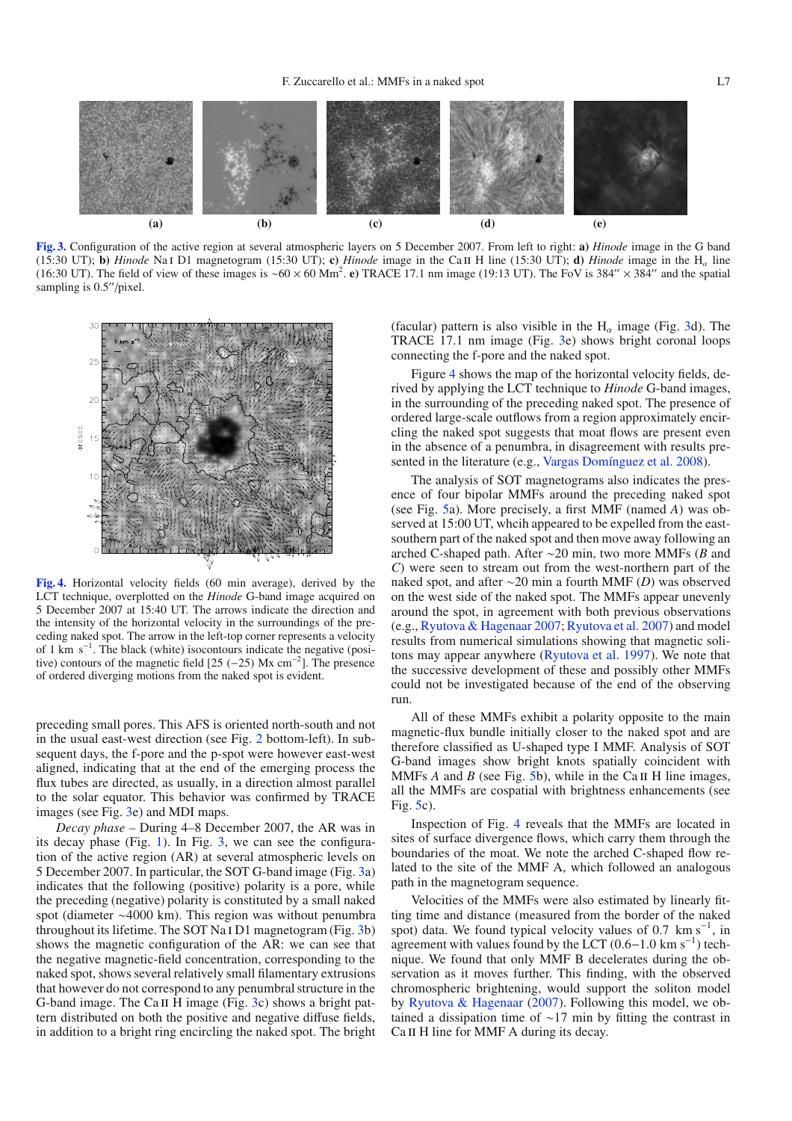

<span id="page-2-0"></span>

**[Fig. 3.](http://dexter.edpsciences.org/applet.php?DOI=10.1051/0004-6361/200912277&pdf_id=3)** Configuration of the active region at several atmospheric layers on 5 December 2007. From left to right: **a)** *Hinode* image in the G band (15:30 UT); **b**) *Hinode* Na I D1 magnetogram (15:30 UT); **c**) *Hinode* image in the Ca II H line (15:30 UT); **d**) *Hinode* image in the H<sub>a</sub> line (16:30 UT). The field of view of these images is ~60 × 60 Mm<sup>2</sup>. e) TRACE 17.1 nm image (19:13 UT). The FoV is 384" × 384" and the spatial sampling is  $0.5''$ /pixel.

<span id="page-2-1"></span>

**[Fig. 4.](http://dexter.edpsciences.org/applet.php?DOI=10.1051/0004-6361/200912277&pdf_id=4)** Horizontal velocity fields (60 min average), derived by the LCT technique, overplotted on the *Hinode* G-band image acquired on 5 December 2007 at 15:40 UT. The arrows indicate the direction and the intensity of the horizontal velocity in the surroundings of the preceding naked spot. The arrow in the left-top corner represents a velocity of 1 km s−<sup>1</sup> . The black (white) isocontours indicate the negative (positive) contours of the magnetic field  $[25 (-25)$  Mx cm<sup>-2</sup>]. The presence of ordered diverging motions from the naked spot is evident.

preceding small pores. This AFS is oriented north-south and not in the usual east-west direction (see Fig. [2](#page-1-1) bottom-left). In subsequent days, the f-pore and the p-spot were however east-west aligned, indicating that at the end of the emerging process the flux tubes are directed, as usually, in a direction almost parallel to the solar equator. This behavior was confirmed by TRACE images (see Fig. [3e](#page-2-0)) and MDI maps.

*Decay phase –* During 4–8 December 2007, the AR was in its decay phase (Fig. [1\)](#page-1-0). In Fig. [3,](#page-2-0) we can see the configuration of the active region (AR) at several atmospheric levels on 5 December 2007. In particular, the SOT G-band image (Fig. [3a](#page-2-0)) indicates that the following (positive) polarity is a pore, while the preceding (negative) polarity is constituted by a small naked spot (diameter ∼4000 km). This region was without penumbra throughout its lifetime. The SOT Na i D1 magnetogram (Fig. [3b](#page-2-0)) shows the magnetic configuration of the AR: we can see that the negative magnetic-field concentration, corresponding to the naked spot, shows several relatively small filamentary extrusions that however do not correspond to any penumbral structure in the G-band image. The Ca II H image (Fig. [3c](#page-2-0)) shows a bright pattern distributed on both the positive and negative diffuse fields, in addition to a bright ring encircling the naked spot. The bright

(facular) pattern is also visible in the  $H_{\alpha}$  image (Fig. [3d](#page-2-0)). The TRACE 17.1 nm image (Fig. [3e](#page-2-0)) shows bright coronal loops connecting the f-pore and the naked spot.

Figure [4](#page-2-1) shows the map of the horizontal velocity fields, derived by applying the LCT technique to *Hinode* G-band images, in the surrounding of the preceding naked spot. The presence of ordered large-scale outflows from a region approximately encircling the naked spot suggests that moat flows are present even in the absence of a penumbra, in disagreement with results presented in the literature (e.g., [Vargas Domínguez et al. 2008](#page-3-21)).

The analysis of SOT magnetograms also indicates the presence of four bipolar MMFs around the preceding naked spot (see Fig. [5a](#page-3-22)). More precisely, a first MMF (named *A*) was observed at 15:00 UT, whcih appeared to be expelled from the eastsouthern part of the naked spot and then move away following an arched C-shaped path. After ∼20 min, two more MMFs (*B* and *C*) were seen to stream out from the west-northern part of the naked spot, and after ∼20 min a fourth MMF (*D*) was observed on the west side of the naked spot. The MMFs appear unevenly around the spot, in agreement with both previous observations (e.g., [Ryutova & Hagenaar 2007;](#page-3-23) [Ryutova et al. 2007](#page-3-24)) and model results from numerical simulations showing that magnetic solitons may appear anywhere [\(Ryutova et al. 1997\)](#page-3-25). We note that the successive development of these and possibly other MMFs could not be investigated because of the end of the observing run.

All of these MMFs exhibit a polarity opposite to the main magnetic-flux bundle initially closer to the naked spot and are therefore classified as U-shaped type I MMF. Analysis of SOT G-band images show bright knots spatially coincident with MMFs  $A$  and  $B$  (see Fig. [5b](#page-3-22)), while in the Ca II H line images, all the MMFs are cospatial with brightness enhancements (see Fig. [5c](#page-3-22)).

Inspection of Fig. [4](#page-2-1) reveals that the MMFs are located in sites of surface divergence flows, which carry them through the boundaries of the moat. We note the arched C-shaped flow related to the site of the MMF A, which followed an analogous path in the magnetogram sequence.

Velocities of the MMFs were also estimated by linearly fitting time and distance (measured from the border of the naked spot) data. We found typical velocity values of 0.7  $\text{km s}^{-1}$ , in agreement with values found by the LCT  $(0.6-1.0 \text{ km s}^{-1})$  technique. We found that only MMF B decelerates during the observation as it moves further. This finding, with the observed chromospheric brightening, would support the soliton model by [Ryutova & Hagenaar](#page-3-23) [\(2007\)](#page-3-23). Following this model, we obtained a dissipation time of ∼17 min by fitting the contrast in Ca II H line for MMF A during its decay.